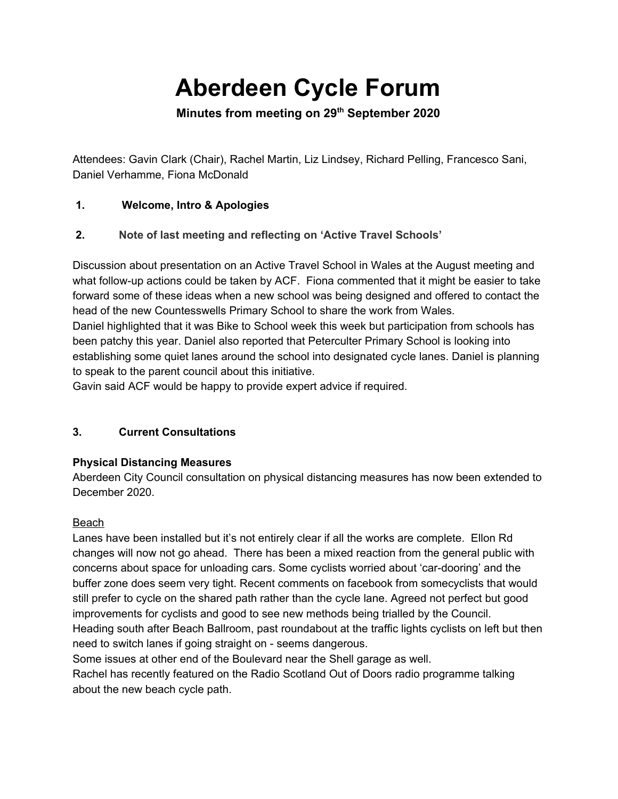# **Aberdeen Cycle Forum**

**Minutes from meeting on 29th September 2020**

Attendees: Gavin Clark (Chair), Rachel Martin, Liz Lindsey, Richard Pelling, Francesco Sani, Daniel Verhamme, Fiona McDonald

# **1. Welcome, Intro & Apologies**

# **2. Note of last meeting and reflecting on 'Active Travel Schools'**

Discussion about presentation on an Active Travel School in Wales at the August meeting and what follow-up actions could be taken by ACF. Fiona commented that it might be easier to take forward some of these ideas when a new school was being designed and offered to contact the head of the new Countesswells Primary School to share the work from Wales.

Daniel highlighted that it was Bike to School week this week but participation from schools has been patchy this year. Daniel also reported that Peterculter Primary School is looking into establishing some quiet lanes around the school into designated cycle lanes. Daniel is planning to speak to the parent council about this initiative.

Gavin said ACF would be happy to provide expert advice if required.

# **3. Current Consultations**

# **Physical Distancing Measures**

Aberdeen City Council consultation on physical distancing measures has now been extended to December 2020.

# Beach

Lanes have been installed but it's not entirely clear if all the works are complete. Ellon Rd changes will now not go ahead. There has been a mixed reaction from the general public with concerns about space for unloading cars. Some cyclists worried about 'car-dooring' and the buffer zone does seem very tight. Recent comments on facebook from somecyclists that would still prefer to cycle on the shared path rather than the cycle lane. Agreed not perfect but good improvements for cyclists and good to see new methods being trialled by the Council. Heading south after Beach Ballroom, past roundabout at the traffic lights cyclists on left but then need to switch lanes if going straight on - seems dangerous.

Some issues at other end of the Boulevard near the Shell garage as well.

Rachel has recently featured on the Radio Scotland Out of Doors radio programme talking about the new beach cycle path.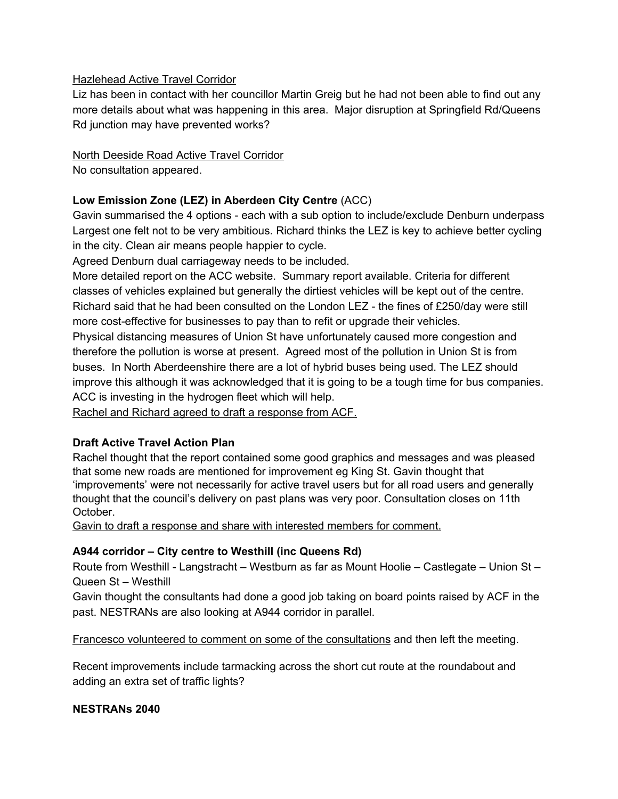#### Hazlehead Active Travel Corridor

Liz has been in contact with her councillor Martin Greig but he had not been able to find out any more details about what was happening in this area. Major disruption at Springfield Rd/Queens Rd junction may have prevented works?

### North Deeside Road Active Travel Corridor

No consultation appeared.

#### **Low Emission Zone (LEZ) in Aberdeen City Centre** (ACC)

Gavin summarised the 4 options - each with a sub option to include/exclude Denburn underpass Largest one felt not to be very ambitious. Richard thinks the LEZ is key to achieve better cycling in the city. Clean air means people happier to cycle.

Agreed Denburn dual carriageway needs to be included.

More detailed report on the ACC website. Summary report available. Criteria for different classes of vehicles explained but generally the dirtiest vehicles will be kept out of the centre. Richard said that he had been consulted on the London LEZ - the fines of £250/day were still more cost-effective for businesses to pay than to refit or upgrade their vehicles.

Physical distancing measures of Union St have unfortunately caused more congestion and therefore the pollution is worse at present. Agreed most of the pollution in Union St is from buses. In North Aberdeenshire there are a lot of hybrid buses being used. The LEZ should improve this although it was acknowledged that it is going to be a tough time for bus companies. ACC is investing in the hydrogen fleet which will help.

Rachel and Richard agreed to draft a response from ACF.

#### **Draft Active Travel Action Plan**

Rachel thought that the report contained some good graphics and messages and was pleased that some new roads are mentioned for improvement eg King St. Gavin thought that 'improvements' were not necessarily for active travel users but for all road users and generally thought that the council's delivery on past plans was very poor. Consultation closes on 11th October.

Gavin to draft a response and share with interested members for comment.

#### **A944 corridor – City centre to Westhill (inc Queens Rd)**

Route from Westhill - Langstracht – Westburn as far as Mount Hoolie – Castlegate – Union St – Queen St – Westhill

Gavin thought the consultants had done a good job taking on board points raised by ACF in the past. NESTRANs are also looking at A944 corridor in parallel.

Francesco volunteered to comment on some of the consultations and then left the meeting.

Recent improvements include tarmacking across the short cut route at the roundabout and adding an extra set of traffic lights?

#### **NESTRANs 2040**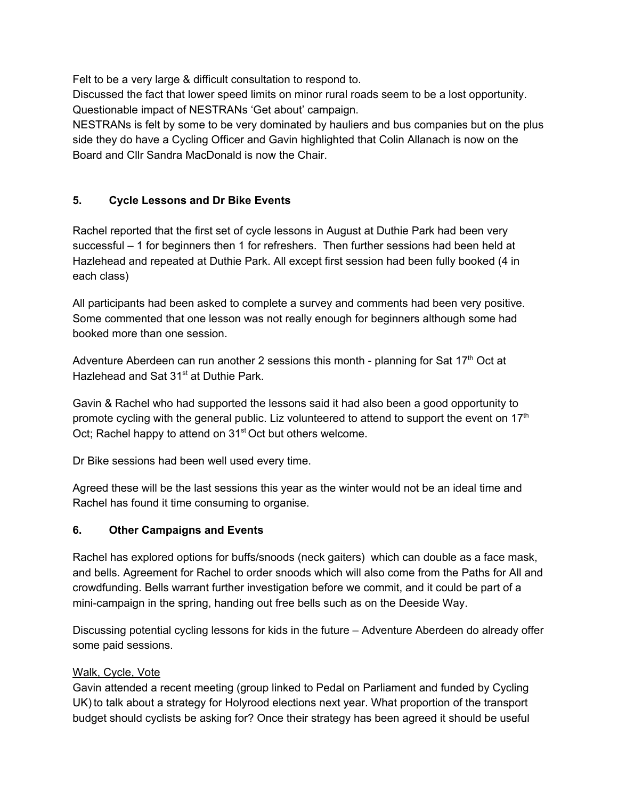Felt to be a very large & difficult consultation to respond to.

Discussed the fact that lower speed limits on minor rural roads seem to be a lost opportunity. Questionable impact of NESTRANs 'Get about' campaign.

NESTRANs is felt by some to be very dominated by hauliers and bus companies but on the plus side they do have a Cycling Officer and Gavin highlighted that Colin Allanach is now on the Board and Cllr Sandra MacDonald is now the Chair.

# **5. Cycle Lessons and Dr Bike Events**

Rachel reported that the first set of cycle lessons in August at Duthie Park had been very successful – 1 for beginners then 1 for refreshers. Then further sessions had been held at Hazlehead and repeated at Duthie Park. All except first session had been fully booked (4 in each class)

All participants had been asked to complete a survey and comments had been very positive. Some commented that one lesson was not really enough for beginners although some had booked more than one session.

Adventure Aberdeen can run another 2 sessions this month - planning for Sat 17<sup>th</sup> Oct at Hazlehead and Sat 31<sup>st</sup> at Duthie Park.

Gavin & Rachel who had supported the lessons said it had also been a good opportunity to promote cycling with the general public. Liz volunteered to attend to support the event on  $17<sup>th</sup>$ Oct; Rachel happy to attend on 31<sup>st</sup> Oct but others welcome.

Dr Bike sessions had been well used every time.

Agreed these will be the last sessions this year as the winter would not be an ideal time and Rachel has found it time consuming to organise.

# **6. Other Campaigns and Events**

Rachel has explored options for buffs/snoods (neck gaiters) which can double as a face mask, and bells. Agreement for Rachel to order snoods which will also come from the Paths for All and crowdfunding. Bells warrant further investigation before we commit, and it could be part of a mini-campaign in the spring, handing out free bells such as on the Deeside Way.

Discussing potential cycling lessons for kids in the future – Adventure Aberdeen do already offer some paid sessions.

# Walk, Cycle, Vote

Gavin attended a recent meeting (group linked to Pedal on Parliament and funded by Cycling UK) to talk about a strategy for Holyrood elections next year. What proportion of the transport budget should cyclists be asking for? Once their strategy has been agreed it should be useful